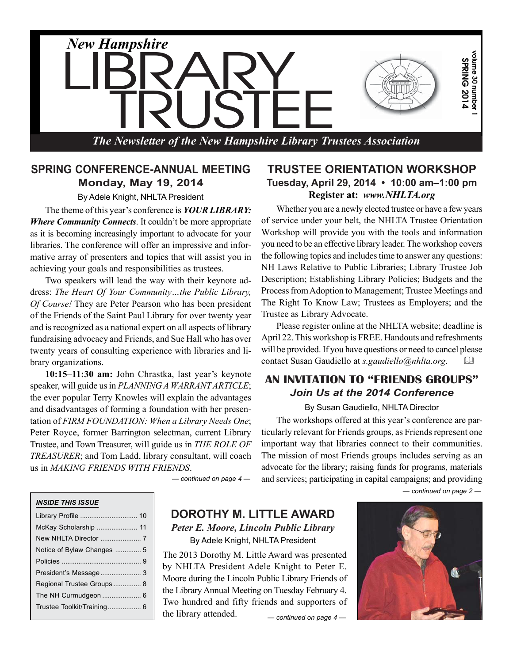

#### **SPRING CONFERENCE-ANNUAL MEETING Monday, May 19, 2014**

By Adele Knight, NHLTA President

The theme of this year's conference is *YOUR LIBRARY: Where Community Connects*. It couldn't be more appropriate as it is becoming increasingly important to advocate for your libraries. The conference will offer an impressive and informative array of presenters and topics that will assist you in achieving your goals and responsibilities as trustees.

Two speakers will lead the way with their keynote address: *The Heart Of Your Community…the Public Library, Of Course!* They are Peter Pearson who has been president of the Friends of the Saint Paul Library for over twenty year and is recognized as a national expert on all aspects of library fundraising advocacy and Friends, and Sue Hall who has over twenty years of consulting experience with libraries and library organizations.

**10:15–11:30 am:** John Chrastka, last year's keynote speaker, will guide us in *PLANNING A WARRANT ARTICLE*; the ever popular Terry Knowles will explain the advantages and disadvantages of forming a foundation with her presentation of *FIRM FOUNDATION: When a Library Needs One*; Peter Royce, former Barrington selectman, current Library Trustee, and Town Treasurer, will guide us in *THE ROLE OF TREASURER*; and Tom Ladd, library consultant, will coach us in *MAKING FRIENDS WITH FRIENDS*.

*— continued on page 4 —*

#### **TRUSTEE ORIENTATION WORKSHOP Tuesday, April 29, 2014 • 10:00 am–1:00 pm Register at:** *www.NHLTA.org*

Whether you are a newly elected trustee or have a few years of service under your belt, the NHLTA Trustee Orientation Workshop will provide you with the tools and information you need to be an effective library leader. The workshop covers the following topics and includes time to answer any questions: NH Laws Relative to Public Libraries; Library Trustee Job Description; Establishing Library Policies; Budgets and the Process from Adoption to Management; Trustee Meetings and The Right To Know Law; Trustees as Employers; and the Trustee as Library Advocate.

Please register online at the NHLTA website; deadline is April 22. This workshop is FREE. Handouts and refreshments will be provided. If you have questions or need to cancel please contact Susan Gaudiello at *s.gaudiello@nhlta.org*. 

#### **AN INVITATION TO "FRIENDS GROUPS"** *Join Us at the 2014 Conference*

#### By Susan Gaudiello, NHLTA Director

The workshops offered at this year's conference are particularly relevant for Friends groups, as Friends represent one important way that libraries connect to their communities. The mission of most Friends groups includes serving as an advocate for the library; raising funds for programs, materials and services; participating in capital campaigns; and providing

*— continued on page 2 —*

#### *INSIDE THIS ISSUE*

| McKay Scholarship  11      |  |
|----------------------------|--|
| New NHLTA Director  7      |  |
| Notice of Bylaw Changes  5 |  |
|                            |  |
| President's Message  3     |  |
| Regional Trustee Groups 8  |  |
|                            |  |
| Trustee Toolkit/Training 6 |  |
|                            |  |

#### **DOROTHY M. LITTLE AWARD** *Peter E. Moore, Lincoln Public Library*

By Adele Knight, NHLTA President

The 2013 Dorothy M. Little Award was presented by NHLTA President Adele Knight to Peter E. Moore during the Lincoln Public Library Friends of the Library Annual Meeting on Tuesday February 4. Two hundred and fifty friends and supporters of the library attended. *— continued on page 4 —*

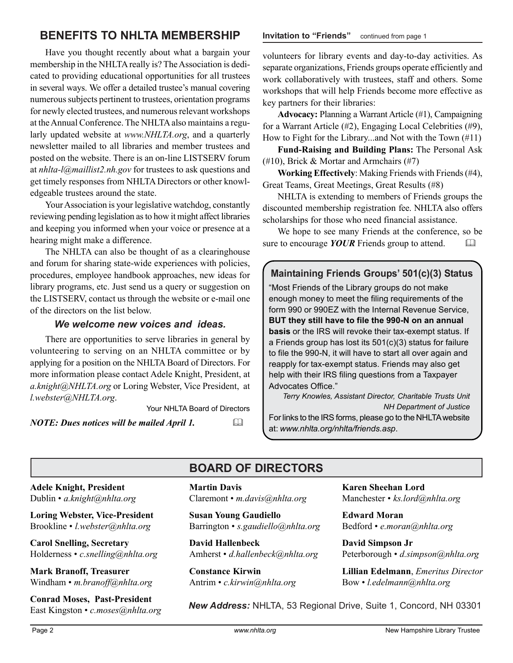### **BENEFITS TO NHLTA MEMBERSHIP Invitation to "Friends"** continued from page 1

Have you thought recently about what a bargain your membership in the NHLTA really is? The Association is dedicated to providing educational opportunities for all trustees in several ways. We offer a detailed trustee's manual covering numerous subjects pertinent to trustees, orientation programs for newly elected trustees, and numerous relevant workshops at the Annual Conference. The NHLTA also maintains a regularly updated website at *www.NHLTA.org*, and a quarterly newsletter mailed to all libraries and member trustees and posted on the website. There is an on-line LISTSERV forum at *nhlta-l@maillist2.nh.gov* for trustees to ask questions and get timely responses from NHLTA Directors or other knowledgeable trustees around the state.

Your Association is your legislative watchdog, constantly reviewing pending legislation as to how it might affect libraries and keeping you informed when your voice or presence at a hearing might make a difference.

The NHLTA can also be thought of as a clearinghouse and forum for sharing state-wide experiences with policies, procedures, employee handbook approaches, new ideas for library programs, etc. Just send us a query or suggestion on the LISTSERV, contact us through the website or e-mail one of the directors on the list below.

#### *We welcome new voices and ideas.*

There are opportunities to serve libraries in general by volunteering to serving on an NHLTA committee or by applying for a position on the NHLTA Board of Directors. For more information please contact Adele Knight, President, at *a.knight@NHLTA.org* or Loring Webster, Vice President, at *l.webster@NHLTA.org*.

Your NHLTA Board of Directors

*NOTE: Dues notices will be mailed April 1.* 

volunteers for library events and day-to-day activities. As separate organizations, Friends groups operate efficiently and work collaboratively with trustees, staff and others. Some workshops that will help Friends become more effective as key partners for their libraries:

**Advocacy:** Planning a Warrant Article (#1), Campaigning for a Warrant Article (#2), Engaging Local Celebrities (#9), How to Fight for the Library...and Not with the Town (#11)

**Fund-Raising and Building Plans:** The Personal Ask (#10), Brick & Mortar and Armchairs (#7)

**Working Effectively**: Making Friends with Friends (#4), Great Teams, Great Meetings, Great Results (#8)

NHLTA is extending to members of Friends groups the discounted membership registration fee. NHLTA also offers scholarships for those who need financial assistance.

We hope to see many Friends at the conference, so be sure to encourage *YOUR* Friends group to attend. 

#### **Maintaining Friends Groups' 501(c)(3) Status**

"Most Friends of the Library groups do not make enough money to meet the filing requirements of the form 990 or 990EZ with the Internal Revenue Service, **BUT they still have to file the 990-N on an annual basis** or the IRS will revoke their tax-exempt status. If a Friends group has lost its 501(c)(3) status for failure to file the 990-N, it will have to start all over again and reapply for tax-exempt status. Friends may also get help with their IRS filing questions from a Taxpayer Advocates Office."

*Terry Knowles, Assistant Director, Charitable Trusts Unit NH Department of Justice* For links to the IRS forms, please go to the NHLTA website at: *www.nhlta.org/nhlta/friends.asp*.

### **BOARD OF DIRECTORS**

**Adele Knight, President** Dublin • *a.knight@nhlta.org*

**Loring Webster, Vice-President** Brookline • *l.webster@nhlta.org*

**Carol Snelling, Secretary** Holderness • *c.snelling@nhlta.org*

**Mark Branoff, Treasurer** Windham • *m.branoff@nhlta.org*

**Conrad Moses, Past-President** East Kingston • *c.moses@nhlta.org* **Martin Davis** Claremont • *m.davis@nhlta.org*

**Susan Young Gaudiello** Barrington • *s.gaudiello@nhlta.org*

**David Hallenbeck** Amherst • *d.hallenbeck@nhlta.org*

**Constance Kirwin** Antrim • *c.kirwin@nhlta.org* **Karen Sheehan Lord** Manchester • *ks.lord@nhlta.org*

**Edward Moran** Bedford • *e.moran@nhlta.org*

**David Simpson Jr** Peterborough • *d.simpson@nhlta.org*

**Lillian Edelmann**, *Emeritus Director* Bow • *l.edelmann@nhlta.org*

*New Address:* NHLTA, 53 Regional Drive, Suite 1, Concord, NH 03301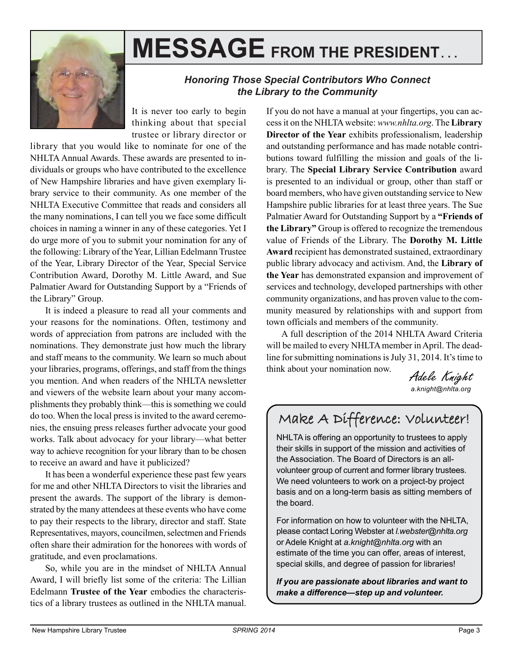

# **MESSAGE FROM THE PRESIDENT. . .**

#### *Honoring Those Special Contributors Who Connect the Library to the Community*

It is never too early to begin thinking about that special trustee or library director or

library that you would like to nominate for one of the NHLTA Annual Awards. These awards are presented to individuals or groups who have contributed to the excellence of New Hampshire libraries and have given exemplary library service to their community. As one member of the NHLTA Executive Committee that reads and considers all the many nominations, I can tell you we face some difficult choices in naming a winner in any of these categories. Yet I do urge more of you to submit your nomination for any of the following: Library of the Year, Lillian Edelmann Trustee of the Year, Library Director of the Year, Special Service Contribution Award, Dorothy M. Little Award, and Sue Palmatier Award for Outstanding Support by a "Friends of the Library" Group.

It is indeed a pleasure to read all your comments and your reasons for the nominations. Often, testimony and words of appreciation from patrons are included with the nominations. They demonstrate just how much the library and staff means to the community. We learn so much about your libraries, programs, offerings, and staff from the things you mention. And when readers of the NHLTA newsletter and viewers of the website learn about your many accomplishments they probably think—this is something we could do too. When the local press is invited to the award ceremonies, the ensuing press releases further advocate your good works. Talk about advocacy for your library—what better way to achieve recognition for your library than to be chosen to receive an award and have it publicized?

It has been a wonderful experience these past few years for me and other NHLTA Directors to visit the libraries and present the awards. The support of the library is demonstrated by the many attendees at these events who have come to pay their respects to the library, director and staff. State Representatives, mayors, councilmen, selectmen and Friends often share their admiration for the honorees with words of gratitude, and even proclamations.

So, while you are in the mindset of NHLTA Annual Award, I will briefly list some of the criteria: The Lillian Edelmann **Trustee of the Year** embodies the characteristics of a library trustees as outlined in the NHLTA manual.

If you do not have a manual at your fingertips, you can access it on the NHLTA website: *www.nhlta.org*. The **Library Director of the Year** exhibits professionalism, leadership and outstanding performance and has made notable contributions toward fulfilling the mission and goals of the library. The **Special Library Service Contribution** award is presented to an individual or group, other than staff or board members, who have given outstanding service to New Hampshire public libraries for at least three years. The Sue Palmatier Award for Outstanding Support by a **"Friends of the Library"** Group is offered to recognize the tremendous value of Friends of the Library. The **Dorothy M. Little Award** recipient has demonstrated sustained, extraordinary public library advocacy and activism. And, the **Library of the Year** has demonstrated expansion and improvement of services and technology, developed partnerships with other community organizations, and has proven value to the community measured by relationships with and support from town officials and members of the community.

A full description of the 2014 NHLTA Award Criteria will be mailed to every NHLTA member in April. The deadline for submitting nominations is July 31, 2014. It's time to think about your nomination now.

Adele Knight *a.knight@nhlta.org*

### Make A Difference: Volunteer!

NHLTA is offering an opportunity to trustees to apply their skills in support of the mission and activities of the Association. The Board of Directors is an allvolunteer group of current and former library trustees. We need volunteers to work on a project-by project basis and on a long-term basis as sitting members of the board.

For information on how to volunteer with the NHLTA, please contact Loring Webster at *l.webster@nhlta.org* or Adele Knight at *a.knight@nhlta.org* with an estimate of the time you can offer, areas of interest, special skills, and degree of passion for libraries!

*If you are passionate about libraries and want to make a difference—step up and volunteer.*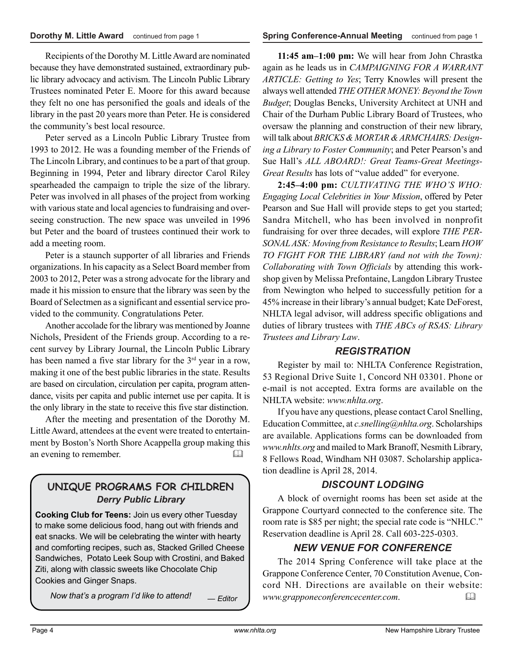Recipients of the Dorothy M. Little Award are nominated because they have demonstrated sustained, extraordinary public library advocacy and activism. The Lincoln Public Library Trustees nominated Peter E. Moore for this award because they felt no one has personified the goals and ideals of the library in the past 20 years more than Peter. He is considered the community's best local resource.

Peter served as a Lincoln Public Library Trustee from 1993 to 2012. He was a founding member of the Friends of The Lincoln Library, and continues to be a part of that group. Beginning in 1994, Peter and library director Carol Riley spearheaded the campaign to triple the size of the library. Peter was involved in all phases of the project from working with various state and local agencies to fundraising and overseeing construction. The new space was unveiled in 1996 but Peter and the board of trustees continued their work to add a meeting room.

Peter is a staunch supporter of all libraries and Friends organizations. In his capacity as a Select Board member from 2003 to 2012, Peter was a strong advocate for the library and made it his mission to ensure that the library was seen by the Board of Selectmen as a significant and essential service provided to the community. Congratulations Peter.

Another accolade for the library was mentioned by Joanne Nichols, President of the Friends group. According to a recent survey by Library Journal, the Lincoln Public Library has been named a five star library for the 3<sup>rd</sup> year in a row, making it one of the best public libraries in the state. Results are based on circulation, circulation per capita, program attendance, visits per capita and public internet use per capita. It is the only library in the state to receive this five star distinction.

After the meeting and presentation of the Dorothy M. Little Award, attendees at the event were treated to entertainment by Boston's North Shore Acappella group making this an evening to remember.

### **UNIQUE PROGRAMS FOR CHILDREN** *Derry Public Library*

**Cooking Club for Teens:** Join us every other Tuesday to make some delicious food, hang out with friends and eat snacks. We will be celebrating the winter with hearty and comforting recipes, such as, Stacked Grilled Cheese Sandwiches, Potato Leek Soup with Crostini, and Baked Ziti, along with classic sweets like Chocolate Chip Cookies and Ginger Snaps.

*Now that's a program I'd like to attend!* — *Editor*

**11:45 am–1:00 pm:** We will hear from John Chrastka again as he leads us in *CAMPAIGNING FOR A WARRANT ARTICLE: Getting to Yes*; Terry Knowles will present the always well attended *THE OTHER MONEY: Beyond the Town Budget*; Douglas Bencks, University Architect at UNH and Chair of the Durham Public Library Board of Trustees, who oversaw the planning and construction of their new library, will talk about *BRICKS & MORTAR & ARMCHAIRS: Designing a Library to Foster Community*; and Peter Pearson's and Sue Hall's *ALL ABOARD!: Great Teams-Great Meetings-Great Results* has lots of "value added" for everyone.

**2:45–4:00 pm:** *CULTIVATING THE WHO'S WHO: Engaging Local Celebrities in Your Mission*, offered by Peter Pearson and Sue Hall will provide steps to get you started; Sandra Mitchell, who has been involved in nonprofit fundraising for over three decades, will explore *THE PER-SONAL ASK: Moving from Resistance to Results*; Learn *HOW TO FIGHT FOR THE LIBRARY (and not with the Town): Collaborating with Town Officials* by attending this workshop given by Melissa Prefontaine, Langdon Library Trustee from Newington who helped to successfully petition for a 45% increase in their library's annual budget; Kate DeForest, NHLTA legal advisor, will address specific obligations and duties of library trustees with *THE ABCs of RSAS: Library Trustees and Library Law*.

#### *REGISTRATION*

Register by mail to: NHLTA Conference Registration, 53 Regional Drive Suite 1, Concord NH 03301. Phone or e-mail is not accepted. Extra forms are available on the NHLTA website: *www.nhlta.org*.

If you have any questions, please contact Carol Snelling, Education Committee, at *c.snelling@nhlta.org*. Scholarships are available. Applications forms can be downloaded from *www.nhlts.org* and mailed to Mark Branoff, Nesmith Library, 8 Fellows Road, Windham NH 03087. Scholarship application deadline is April 28, 2014.

#### *DISCOUNT LODGING*

A block of overnight rooms has been set aside at the Grappone Courtyard connected to the conference site. The room rate is \$85 per night; the special rate code is "NHLC." Reservation deadline is April 28. Call 603-225-0303.

#### *NEW VENUE FOR CONFERENCE*

The 2014 Spring Conference will take place at the Grappone Conference Center, 70 Constitution Avenue, Concord NH. Directions are available on their website: *www.grapponeconferencecenter.com*.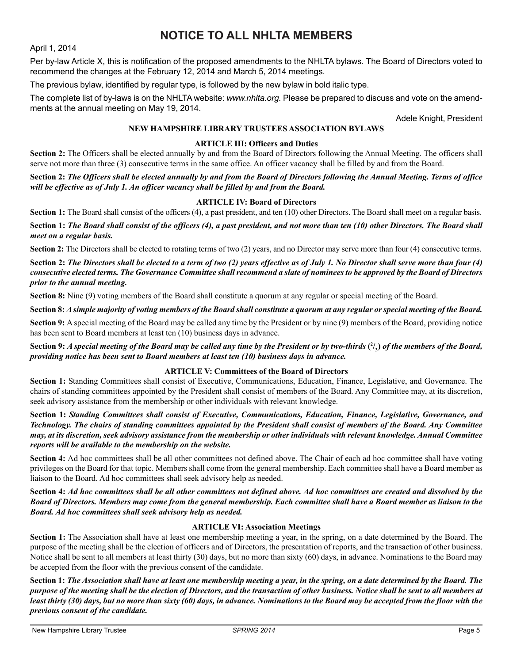### **NOTICE TO ALL NHLTA MEMBERS**

April 1, 2014

Per by-law Article X, this is notification of the proposed amendments to the NHLTA bylaws. The Board of Directors voted to recommend the changes at the February 12, 2014 and March 5, 2014 meetings.

The previous bylaw, identified by regular type, is followed by the new bylaw in bold italic type.

The complete list of by-laws is on the NHLTA website: *www.nhlta.org.* Please be prepared to discuss and vote on the amendments at the annual meeting on May 19, 2014.

Adele Knight, President

#### **NEW HAMPSHIRE LIBRARY TRUSTEES ASSOCIATION BYLAWS**

#### **ARTICLE III: Officers and Duties**

**Section 2:** The Officers shall be elected annually by and from the Board of Directors following the Annual Meeting. The officers shall serve not more than three (3) consecutive terms in the same office. An officer vacancy shall be filled by and from the Board.

**Section 2:** *The Officers shall be elected annually by and from the Board of Directors following the Annual Meeting. Terms of office will be effective as of July 1. An officer vacancy shall be filled by and from the Board.*

#### **ARTICLE IV: Board of Directors**

Section 1: The Board shall consist of the officers (4), a past president, and ten (10) other Directors. The Board shall meet on a regular basis.

**Section 1:** *The Board shall consist of the officers (4), a past president, and not more than ten (10) other Directors. The Board shall meet on a regular basis.*

**Section 2:** The Directors shall be elected to rotating terms of two (2) years, and no Director may serve more than four (4) consecutive terms.

**Section 2:** *The Directors shall be elected to a term of two (2) years effective as of July 1. No Director shall serve more than four (4) consecutive elected terms. The Governance Committee shall recommend a slate of nominees to be approved by the Board of Directors prior to the annual meeting.*

**Section 8:** Nine (9) voting members of the Board shall constitute a quorum at any regular or special meeting of the Board.

**Section 8:** *A simple majority of voting members of the Board shall constitute a quorum at any regular or special meeting of the Board.*

**Section 9:** A special meeting of the Board may be called any time by the President or by nine (9) members of the Board, providing notice has been sent to Board members at least ten (10) business days in advance.

**Section 9:** *A special meeting of the Board may be called any time by the President or by two-thirds* **( 2 / 3 )** *of the members of the Board, providing notice has been sent to Board members at least ten (10) business days in advance.*

#### **ARTICLE V: Committees of the Board of Directors**

**Section 1:** Standing Committees shall consist of Executive, Communications, Education, Finance, Legislative, and Governance. The chairs of standing committees appointed by the President shall consist of members of the Board. Any Committee may, at its discretion, seek advisory assistance from the membership or other individuals with relevant knowledge.

**Section 1:** *Standing Committees shall consist of Executive, Communications, Education, Finance, Legislative, Governance, and Technology. The chairs of standing committees appointed by the President shall consist of members of the Board. Any Committee may, at its discretion, seek advisory assistance from the membership or other individuals with relevant knowledge. Annual Committee reports will be available to the membership on the website.*

**Section 4:** Ad hoc committees shall be all other committees not defined above. The Chair of each ad hoc committee shall have voting privileges on the Board for that topic. Members shall come from the general membership. Each committee shall have a Board member as liaison to the Board. Ad hoc committees shall seek advisory help as needed.

**Section 4:** *Ad hoc committees shall be all other committees not defined above. Ad hoc committees are created and dissolved by the Board of Directors. Members may come from the general membership. Each committee shall have a Board member as liaison to the Board. Ad hoc committees shall seek advisory help as needed.*

#### **ARTICLE VI: Association Meetings**

**Section 1:** The Association shall have at least one membership meeting a year, in the spring, on a date determined by the Board. The purpose of the meeting shall be the election of officers and of Directors, the presentation of reports, and the transaction of other business. Notice shall be sent to all members at least thirty (30) days, but no more than sixty (60) days, in advance. Nominations to the Board may be accepted from the floor with the previous consent of the candidate.

**Section 1:** *The Association shall have at least one membership meeting a year, in the spring, on a date determined by the Board. The purpose of the meeting shall be the election of Directors, and the transaction of other business. Notice shall be sent to all members at least thirty (30) days, but no more than sixty (60) days, in advance. Nominations to the Board may be accepted from the floor with the previous consent of the candidate.*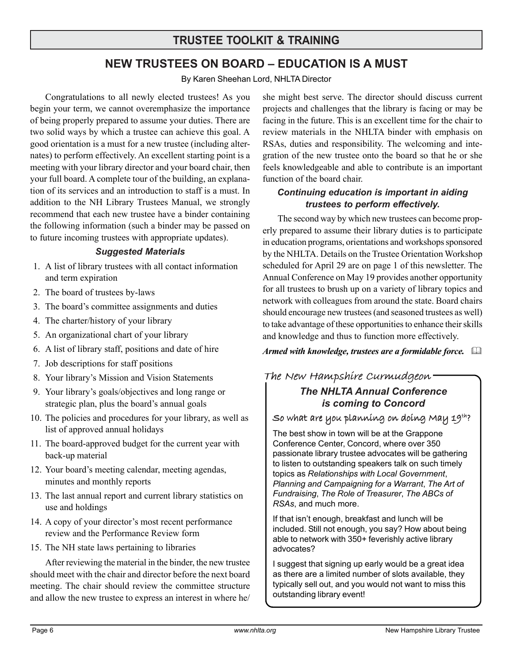### **TRUSTEE TOOLKIT & TRAINING**

### **NEW TRUSTEES ON BOARD – EDUCATION IS A MUST**

By Karen Sheehan Lord, NHLTA Director

Congratulations to all newly elected trustees! As you begin your term, we cannot overemphasize the importance of being properly prepared to assume your duties. There are two solid ways by which a trustee can achieve this goal. A good orientation is a must for a new trustee (including alternates) to perform effectively. An excellent starting point is a meeting with your library director and your board chair, then your full board. A complete tour of the building, an explanation of its services and an introduction to staff is a must. In addition to the NH Library Trustees Manual, we strongly recommend that each new trustee have a binder containing the following information (such a binder may be passed on to future incoming trustees with appropriate updates).

#### *Suggested Materials*

- 1. A list of library trustees with all contact information and term expiration
- 2. The board of trustees by-laws
- 3. The board's committee assignments and duties
- 4. The charter/history of your library
- 5. An organizational chart of your library
- 6. A list of library staff, positions and date of hire
- 7. Job descriptions for staff positions
- 8. Your library's Mission and Vision Statements
- 9. Your library's goals/objectives and long range or strategic plan, plus the board's annual goals
- 10. The policies and procedures for your library, as well as list of approved annual holidays
- 11. The board-approved budget for the current year with back-up material
- 12. Your board's meeting calendar, meeting agendas, minutes and monthly reports
- 13. The last annual report and current library statistics on use and holdings
- 14. A copy of your director's most recent performance review and the Performance Review form
- 15. The NH state laws pertaining to libraries

After reviewing the material in the binder, the new trustee should meet with the chair and director before the next board meeting. The chair should review the committee structure and allow the new trustee to express an interest in where he/ she might best serve. The director should discuss current projects and challenges that the library is facing or may be facing in the future. This is an excellent time for the chair to review materials in the NHLTA binder with emphasis on RSAs, duties and responsibility. The welcoming and integration of the new trustee onto the board so that he or she feels knowledgeable and able to contribute is an important function of the board chair.

#### *Continuing education is important in aiding trustees to perform effectively.*

The second way by which new trustees can become properly prepared to assume their library duties is to participate in education programs, orientations and workshops sponsored by the NHLTA. Details on the Trustee Orientation Workshop scheduled for April 29 are on page 1 of this newsletter. The Annual Conference on May 19 provides another opportunity for all trustees to brush up on a variety of library topics and network with colleagues from around the state. Board chairs should encourage new trustees (and seasoned trustees as well) to take advantage of these opportunities to enhance their skills and knowledge and thus to function more effectively.

*Armed with knowledge, trustees are a formidable force.*  

### *The NHLTA Annual Conference is coming to Concord* The New Hampshire Curmudgeon

So what are you planning on doing May  $19^{th}$ ?

The best show in town will be at the Grappone Conference Center, Concord, where over 350 passionate library trustee advocates will be gathering to listen to outstanding speakers talk on such timely topics as *Relationships with Local Government*, *Planning and Campaigning for a Warrant*, *The Art of Fundraising*, *The Role of Treasurer*, *The ABCs of RSAs*, and much more.

If that isn't enough, breakfast and lunch will be included. Still not enough, you say? How about being able to network with 350+ feverishly active library advocates?

I suggest that signing up early would be a great idea as there are a limited number of slots available, they typically sell out, and you would not want to miss this outstanding library event!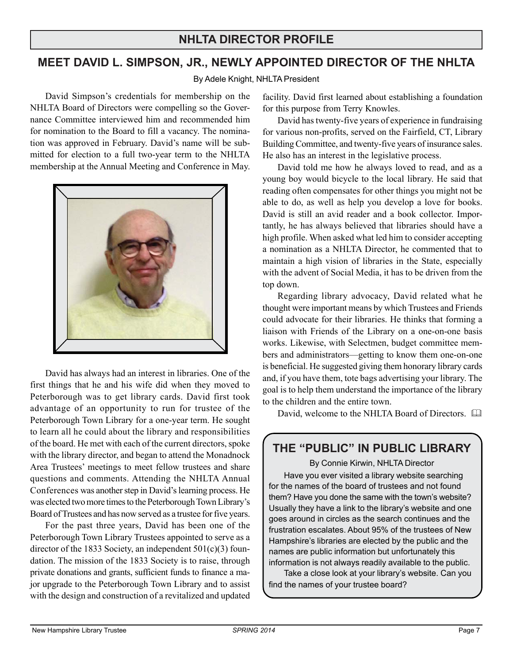### **NHLTA DIRECTOR PROFILE**

### **MEET DAVID L. SIMPSON, JR., NEWLY APPOINTED DIRECTOR OF THE NHLTA**

By Adele Knight, NHLTA President

David Simpson's credentials for membership on the NHLTA Board of Directors were compelling so the Governance Committee interviewed him and recommended him for nomination to the Board to fill a vacancy. The nomination was approved in February. David's name will be submitted for election to a full two-year term to the NHLTA membership at the Annual Meeting and Conference in May.



David has always had an interest in libraries. One of the first things that he and his wife did when they moved to Peterborough was to get library cards. David first took advantage of an opportunity to run for trustee of the Peterborough Town Library for a one-year term. He sought to learn all he could about the library and responsibilities of the board. He met with each of the current directors, spoke with the library director, and began to attend the Monadnock Area Trustees' meetings to meet fellow trustees and share questions and comments. Attending the NHLTA Annual Conferences was another step in David's learning process. He was elected two more times to the Peterborough Town Library's Board of Trustees and has now served as a trustee for five years.

For the past three years, David has been one of the Peterborough Town Library Trustees appointed to serve as a director of the 1833 Society, an independent  $501(c)(3)$  foundation. The mission of the 1833 Society is to raise, through private donations and grants, sufficient funds to finance a major upgrade to the Peterborough Town Library and to assist with the design and construction of a revitalized and updated facility. David first learned about establishing a foundation for this purpose from Terry Knowles.

David has twenty-five years of experience in fundraising for various non-profits, served on the Fairfield, CT, Library Building Committee, and twenty-five years of insurance sales. He also has an interest in the legislative process.

David told me how he always loved to read, and as a young boy would bicycle to the local library. He said that reading often compensates for other things you might not be able to do, as well as help you develop a love for books. David is still an avid reader and a book collector. Importantly, he has always believed that libraries should have a high profile. When asked what led him to consider accepting a nomination as a NHLTA Director, he commented that to maintain a high vision of libraries in the State, especially with the advent of Social Media, it has to be driven from the top down.

Regarding library advocacy, David related what he thought were important means by which Trustees and Friends could advocate for their libraries. He thinks that forming a liaison with Friends of the Library on a one-on-one basis works. Likewise, with Selectmen, budget committee members and administrators—getting to know them one-on-one is beneficial. He suggested giving them honorary library cards and, if you have them, tote bags advertising your library. The goal is to help them understand the importance of the library to the children and the entire town.

David, welcome to the NHLTA Board of Directors.  $\Box$ 

### **THE "PUBLIC" IN PUBLIC LIBRARY**

By Connie Kirwin, NHLTA Director

Have you ever visited a library website searching for the names of the board of trustees and not found them? Have you done the same with the town's website? Usually they have a link to the library's website and one goes around in circles as the search continues and the frustration escalates. About 95% of the trustees of New Hampshire's libraries are elected by the public and the names are public information but unfortunately this information is not always readily available to the public.

Take a close look at your library's website. Can you find the names of your trustee board?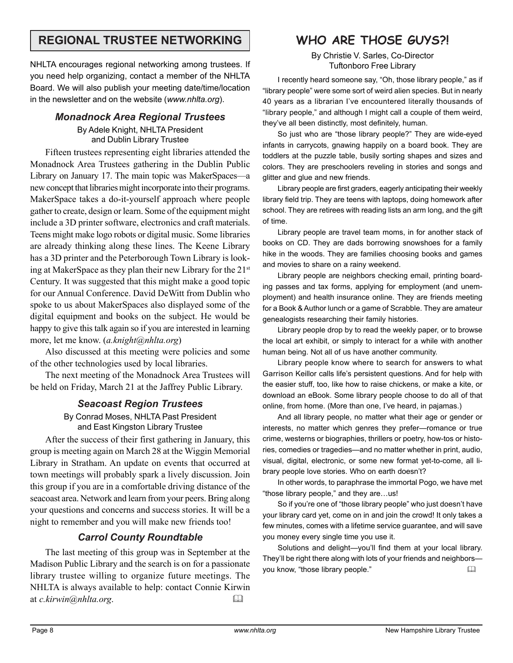### **REGIONAL TRUSTEE NETWORKING WHO ARE THOSE GUYS?!**

NHLTA encourages regional networking among trustees. If you need help organizing, contact a member of the NHLTA Board. We will also publish your meeting date/time/location in the newsletter and on the website (*www.nhlta.org*).

#### *Monadnock Area Regional Trustees* By Adele Knight, NHLTA President and Dublin Library Trustee

Fifteen trustees representing eight libraries attended the Monadnock Area Trustees gathering in the Dublin Public Library on January 17. The main topic was MakerSpaces—a new concept that libraries might incorporate into their programs. MakerSpace takes a do-it-yourself approach where people gather to create, design or learn. Some of the equipment might include a 3D printer software, electronics and craft materials. Teens might make logo robots or digital music. Some libraries are already thinking along these lines. The Keene Library has a 3D printer and the Peterborough Town Library is looking at MakerSpace as they plan their new Library for the 21st Century. It was suggested that this might make a good topic for our Annual Conference. David DeWitt from Dublin who spoke to us about MakerSpaces also displayed some of the digital equipment and books on the subject. He would be happy to give this talk again so if you are interested in learning more, let me know. (*a.knight@nhlta.org*)

Also discussed at this meeting were policies and some of the other technologies used by local libraries.

The next meeting of the Monadnock Area Trustees will be held on Friday, March 21 at the Jaffrey Public Library.

#### *Seacoast Region Trustees*

By Conrad Moses, NHLTA Past President and East Kingston Library Trustee

After the success of their first gathering in January, this group is meeting again on March 28 at the Wiggin Memorial Library in Stratham. An update on events that occurred at town meetings will probably spark a lively discussion. Join this group if you are in a comfortable driving distance of the seacoast area. Network and learn from your peers. Bring along your questions and concerns and success stories. It will be a night to remember and you will make new friends too!

#### *Carrol County Roundtable*

The last meeting of this group was in September at the Madison Public Library and the search is on for a passionate library trustee willing to organize future meetings. The NHLTA is always available to help: contact Connie Kirwin at *c.kirwin@nhlta.org*. 

By Christie V. Sarles, Co-Director Tuftonboro Free Library

I recently heard someone say, "Oh, those library people," as if "library people" were some sort of weird alien species. But in nearly 40 years as a librarian I've encountered literally thousands of "library people," and although I might call a couple of them weird, they've all been distinctly, most definitely, human.

So just who are "those library people?" They are wide-eyed infants in carrycots, gnawing happily on a board book. They are toddlers at the puzzle table, busily sorting shapes and sizes and colors. They are preschoolers reveling in stories and songs and glitter and glue and new friends.

Library people are first graders, eagerly anticipating their weekly library field trip. They are teens with laptops, doing homework after school. They are retirees with reading lists an arm long, and the gift of time.

Library people are travel team moms, in for another stack of books on CD. They are dads borrowing snowshoes for a family hike in the woods. They are families choosing books and games and movies to share on a rainy weekend.

Library people are neighbors checking email, printing boarding passes and tax forms, applying for employment (and unemployment) and health insurance online. They are friends meeting for a Book & Author lunch or a game of Scrabble. They are amateur genealogists researching their family histories.

Library people drop by to read the weekly paper, or to browse the local art exhibit, or simply to interact for a while with another human being. Not all of us have another community.

Library people know where to search for answers to what Garrison Keillor calls life's persistent questions. And for help with the easier stuff, too, like how to raise chickens, or make a kite, or download an eBook. Some library people choose to do all of that online, from home. (More than one, I've heard, in pajamas.)

And all library people, no matter what their age or gender or interests, no matter which genres they prefer—romance or true crime, westerns or biographies, thrillers or poetry, how-tos or histories, comedies or tragedies—and no matter whether in print, audio, visual, digital, electronic, or some new format yet-to-come, all library people love stories. Who on earth doesn't?

In other words, to paraphrase the immortal Pogo, we have met "those library people," and they are…us!

So if you're one of "those library people" who just doesn't have your library card yet, come on in and join the crowd! It only takes a few minutes, comes with a lifetime service guarantee, and will save you money every single time you use it.

Solutions and delight—you'll find them at your local library. They'll be right there along with lots of your friends and neighbors you know, "those library people."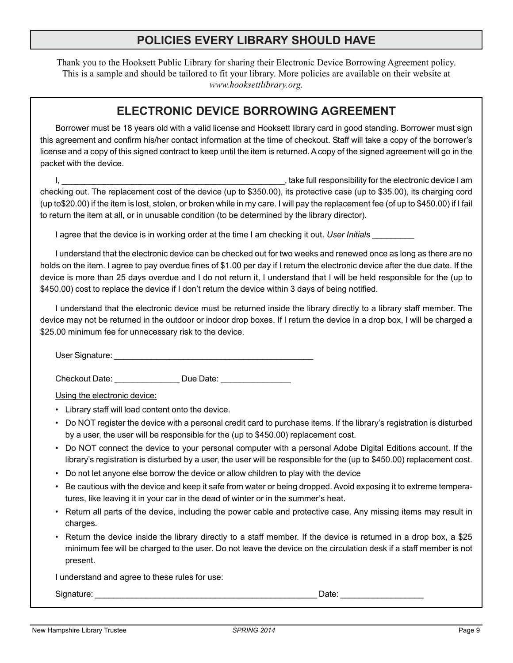### **POLICIES EVERY LIBRARY SHOULD HAVE**

Thank you to the Hooksett Public Library for sharing their Electronic Device Borrowing Agreement policy. This is a sample and should be tailored to fit your library. More policies are available on their website at *www.hooksettlibrary.org.*

### **ELECTRONIC DEVICE BORROWING AGREEMENT**

Borrower must be 18 years old with a valid license and Hooksett library card in good standing. Borrower must sign this agreement and confirm his/her contact information at the time of checkout. Staff will take a copy of the borrower's license and a copy of this signed contract to keep until the item is returned. A copy of the signed agreement will go in the packet with the device.

I, the second is a set of the second of the second in the second in the electronic device I am checking out. The replacement cost of the device (up to \$350.00), its protective case (up to \$35.00), its charging cord (up to\$20.00) if the item is lost, stolen, or broken while in my care. I will pay the replacement fee (of up to \$450.00) if I fail to return the item at all, or in unusable condition (to be determined by the library director).

I agree that the device is in working order at the time I am checking it out. User Initials

I understand that the electronic device can be checked out for two weeks and renewed once as long as there are no holds on the item. I agree to pay overdue fines of \$1.00 per day if I return the electronic device after the due date. If the device is more than 25 days overdue and I do not return it, I understand that I will be held responsible for the (up to \$450.00) cost to replace the device if I don't return the device within 3 days of being notified.

I understand that the electronic device must be returned inside the library directly to a library staff member. The device may not be returned in the outdoor or indoor drop boxes. If I return the device in a drop box, I will be charged a \$25.00 minimum fee for unnecessary risk to the device.

User Signature:  $\Box$ 

Checkout Date: \_\_\_\_\_\_\_\_\_\_\_\_\_\_\_\_\_\_\_ Due Date:

Using the electronic device:

- Library staff will load content onto the device.
- Do NOT register the device with a personal credit card to purchase items. If the library's registration is disturbed by a user, the user will be responsible for the (up to \$450.00) replacement cost.
- Do NOT connect the device to your personal computer with a personal Adobe Digital Editions account. If the library's registration is disturbed by a user, the user will be responsible for the (up to \$450.00) replacement cost.
- Do not let anyone else borrow the device or allow children to play with the device
- Be cautious with the device and keep it safe from water or being dropped. Avoid exposing it to extreme temperatures, like leaving it in your car in the dead of winter or in the summer's heat.
- Return all parts of the device, including the power cable and protective case. Any missing items may result in charges.
- Return the device inside the library directly to a staff member. If the device is returned in a drop box, a \$25 minimum fee will be charged to the user. Do not leave the device on the circulation desk if a staff member is not present.

I understand and agree to these rules for use:

Signature: \_\_\_\_\_\_\_\_\_\_\_\_\_\_\_\_\_\_\_\_\_\_\_\_\_\_\_\_\_\_\_\_\_\_\_\_\_\_\_\_\_\_\_\_\_\_\_\_ Date: \_\_\_\_\_\_\_\_\_\_\_\_\_\_\_\_\_\_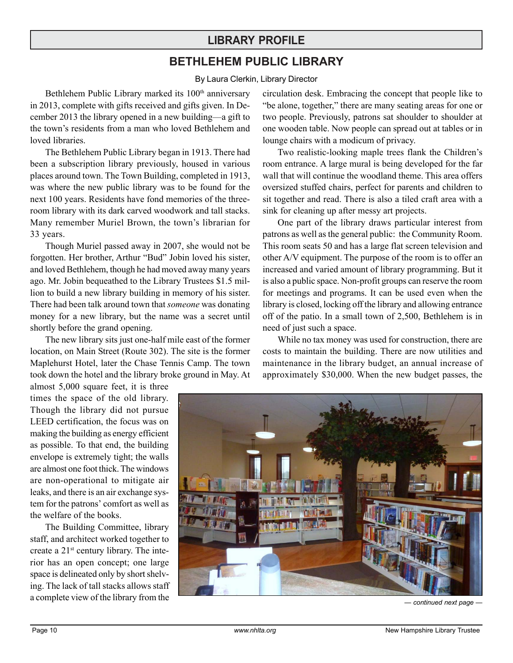### **LIBRARY PROFILE**

### **BETHLEHEM PUBLIC LIBRARY**

By Laura Clerkin, Library Director

Bethlehem Public Library marked its 100<sup>th</sup> anniversary in 2013, complete with gifts received and gifts given. In December 2013 the library opened in a new building—a gift to the town's residents from a man who loved Bethlehem and loved libraries.

The Bethlehem Public Library began in 1913. There had been a subscription library previously, housed in various places around town. The Town Building, completed in 1913, was where the new public library was to be found for the next 100 years. Residents have fond memories of the threeroom library with its dark carved woodwork and tall stacks. Many remember Muriel Brown, the town's librarian for 33 years.

Though Muriel passed away in 2007, she would not be forgotten. Her brother, Arthur "Bud" Jobin loved his sister, and loved Bethlehem, though he had moved away many years ago. Mr. Jobin bequeathed to the Library Trustees \$1.5 million to build a new library building in memory of his sister. There had been talk around town that *someone* was donating money for a new library, but the name was a secret until shortly before the grand opening.

The new library sits just one-half mile east of the former location, on Main Street (Route 302). The site is the former Maplehurst Hotel, later the Chase Tennis Camp. The town took down the hotel and the library broke ground in May. At

almost 5,000 square feet, it is three times the space of the old library. Though the library did not pursue LEED certification, the focus was on making the building as energy efficient as possible. To that end, the building envelope is extremely tight; the walls are almost one foot thick. The windows are non-operational to mitigate air leaks, and there is an air exchange system for the patrons' comfort as well as the welfare of the books.

The Building Committee, library staff, and architect worked together to create a 21st century library. The interior has an open concept; one large space is delineated only by short shelving. The lack of tall stacks allows staff a complete view of the library from the

circulation desk. Embracing the concept that people like to "be alone, together," there are many seating areas for one or two people. Previously, patrons sat shoulder to shoulder at one wooden table. Now people can spread out at tables or in lounge chairs with a modicum of privacy.

Two realistic-looking maple trees flank the Children's room entrance. A large mural is being developed for the far wall that will continue the woodland theme. This area offers oversized stuffed chairs, perfect for parents and children to sit together and read. There is also a tiled craft area with a sink for cleaning up after messy art projects.

One part of the library draws particular interest from patrons as well as the general public: the Community Room. This room seats 50 and has a large flat screen television and other A/V equipment. The purpose of the room is to offer an increased and varied amount of library programming. But it is also a public space. Non-profit groups can reserve the room for meetings and programs. It can be used even when the library is closed, locking off the library and allowing entrance off of the patio. In a small town of 2,500, Bethlehem is in need of just such a space.

While no tax money was used for construction, there are costs to maintain the building. There are now utilities and maintenance in the library budget, an annual increase of approximately \$30,000. When the new budget passes, the



*— continued next page —*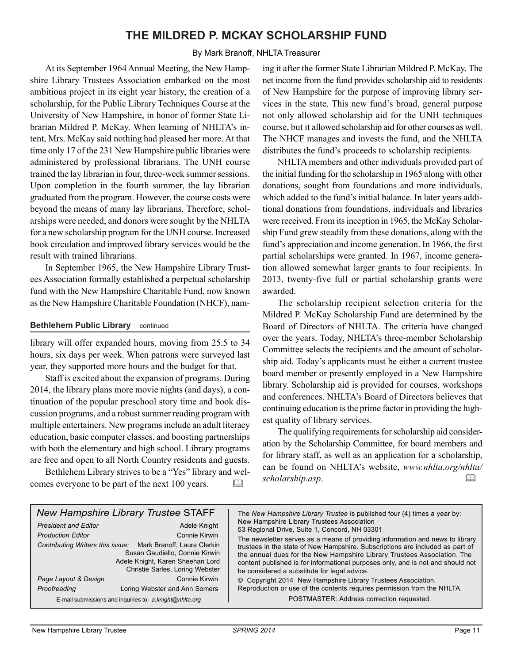### **THE MILDRED P. MCKAY SCHOLARSHIP FUND**

#### By Mark Branoff, NHLTA Treasurer

At its September 1964 Annual Meeting, the New Hampshire Library Trustees Association embarked on the most ambitious project in its eight year history, the creation of a scholarship, for the Public Library Techniques Course at the University of New Hampshire, in honor of former State Librarian Mildred P. McKay. When learning of NHLTA's intent, Mrs. McKay said nothing had pleased her more. At that time only 17 of the 231 New Hampshire public libraries were administered by professional librarians. The UNH course trained the lay librarian in four, three-week summer sessions. Upon completion in the fourth summer, the lay librarian graduated from the program. However, the course costs were beyond the means of many lay librarians. Therefore, scholarships were needed, and donors were sought by the NHLTA for a new scholarship program for the UNH course. Increased book circulation and improved library services would be the result with trained librarians.

In September 1965, the New Hampshire Library Trustees Association formally established a perpetual scholarship fund with the New Hampshire Charitable Fund, now known as the New Hampshire Charitable Foundation (NHCF), nam-

#### **Bethlehem Public Library** continued

library will offer expanded hours, moving from 25.5 to 34 hours, six days per week. When patrons were surveyed last year, they supported more hours and the budget for that.

Staff is excited about the expansion of programs. During 2014, the library plans more movie nights (and days), a continuation of the popular preschool story time and book discussion programs, and a robust summer reading program with multiple entertainers. New programs include an adult literacy education, basic computer classes, and boosting partnerships with both the elementary and high school. Library programs are free and open to all North Country residents and guests.

Bethlehem Library strives to be a "Yes" library and welcomes everyone to be part of the next 100 years. 

ing it after the former State Librarian Mildred P. McKay. The net income from the fund provides scholarship aid to residents of New Hampshire for the purpose of improving library services in the state. This new fund's broad, general purpose not only allowed scholarship aid for the UNH techniques course, but it allowed scholarship aid for other courses as well. The NHCF manages and invests the fund, and the NHLTA distributes the fund's proceeds to scholarship recipients.

NHLTA members and other individuals provided part of the initial funding for the scholarship in 1965 along with other donations, sought from foundations and more individuals, which added to the fund's initial balance. In later years additional donations from foundations, individuals and libraries were received. From its inception in 1965, the McKay Scholarship Fund grew steadily from these donations, along with the fund's appreciation and income generation. In 1966, the first partial scholarships were granted. In 1967, income generation allowed somewhat larger grants to four recipients. In 2013, twenty-five full or partial scholarship grants were awarded.

The scholarship recipient selection criteria for the Mildred P. McKay Scholarship Fund are determined by the Board of Directors of NHLTA. The criteria have changed over the years. Today, NHLTA's three-member Scholarship Committee selects the recipients and the amount of scholarship aid. Today's applicants must be either a current trustee board member or presently employed in a New Hampshire library. Scholarship aid is provided for courses, workshops and conferences. NHLTA's Board of Directors believes that continuing education is the prime factor in providing the highest quality of library services.

The qualifying requirements for scholarship aid consideration by the Scholarship Committee, for board members and for library staff, as well as an application for a scholarship, can be found on NHLTA's website, *www.nhlta.org/nhlta/ scholarship.asp*. 

| <b>New Hampshire Library Trustee STAFF</b><br><b>President and Editor</b><br>Adele Knight<br>Connie Kirwin<br><b>Production Fditor</b><br>Contributing Writers this issue: Mark Branoff, Laura Clerkin<br>Susan Gaudiello, Connie Kirwin<br>Adele Knight, Karen Sheehan Lord<br>Christie Sarles, Loring Webster<br>Connie Kirwin<br>Page Layout & Design<br>Loring Webster and Ann Somers<br>Proofreading | The New Hampshire Library Trustee is published four (4) times a year by:<br>New Hampshire Library Trustees Association<br>53 Regional Drive, Suite 1, Concord, NH 03301<br>The newsletter serves as a means of providing information and news to library<br>trustees in the state of New Hampshire. Subscriptions are included as part of<br>the annual dues for the New Hampshire Library Trustees Association. The<br>content published is for informational purposes only, and is not and should not<br>be considered a substitute for legal advice.<br>© Copyright 2014 New Hampshire Library Trustees Association.<br>Reproduction or use of the contents requires permission from the NHLTA. |
|-----------------------------------------------------------------------------------------------------------------------------------------------------------------------------------------------------------------------------------------------------------------------------------------------------------------------------------------------------------------------------------------------------------|----------------------------------------------------------------------------------------------------------------------------------------------------------------------------------------------------------------------------------------------------------------------------------------------------------------------------------------------------------------------------------------------------------------------------------------------------------------------------------------------------------------------------------------------------------------------------------------------------------------------------------------------------------------------------------------------------|
| E-mail submissions and inquiries to: a.knight@nhlta.org                                                                                                                                                                                                                                                                                                                                                   | POSTMASTER: Address correction requested.                                                                                                                                                                                                                                                                                                                                                                                                                                                                                                                                                                                                                                                          |